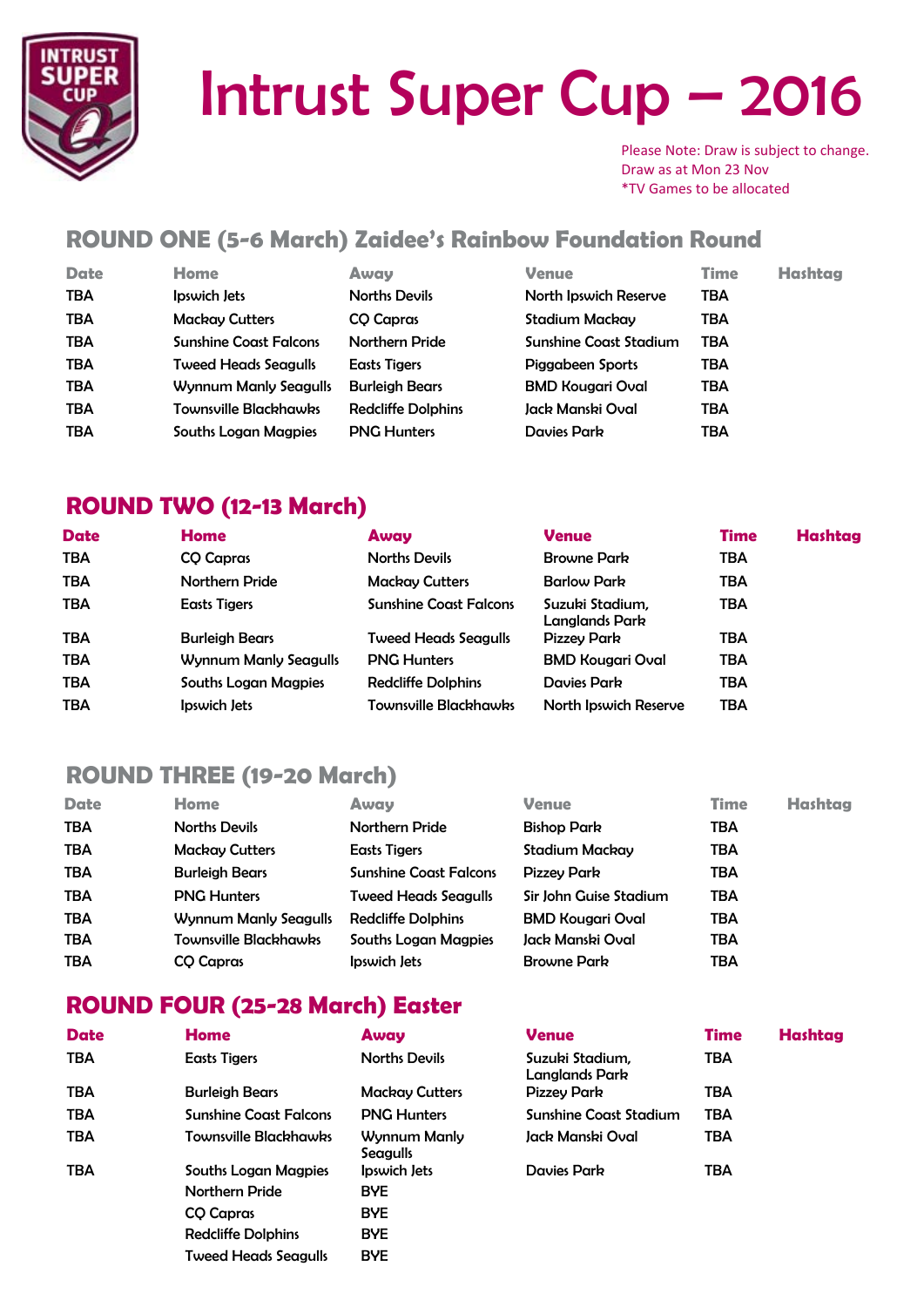

# Intrust Super Cup – 2016

Please Note: Draw is subject to change. Draw as at Mon 23 Nov \*TV Games to be allocated

# **ROUND ONE (5-6 March) Zaidee's Rainbow Foundation Round**

| <b>Date</b> | <b>Home</b>                   | <b>Awav</b>               | <b>Venue</b>                  | <b>Time</b> | <b>Hashtag</b> |
|-------------|-------------------------------|---------------------------|-------------------------------|-------------|----------------|
| <b>TBA</b>  | Ipswich Jets                  | <b>Norths Devils</b>      | North Ipswich Reserve         | <b>TBA</b>  |                |
| <b>TBA</b>  | <b>Mackay Cutters</b>         | <b>CQ Capras</b>          | Stadium Mackay                | TBA         |                |
| <b>TBA</b>  | <b>Sunshine Coast Falcons</b> | <b>Northern Pride</b>     | <b>Sunshine Coast Stadium</b> | <b>TBA</b>  |                |
| <b>TBA</b>  | <b>Tweed Heads Seagulls</b>   | <b>Easts Tigers</b>       | Piggabeen Sports              | TBA         |                |
| <b>TBA</b>  | <b>Wynnum Manly Seagulls</b>  | <b>Burleigh Bears</b>     | <b>BMD Kougari Oval</b>       | <b>TBA</b>  |                |
| <b>TBA</b>  | Townsville Blackhawks         | <b>Redcliffe Dolphins</b> | Jack Manski Oval              | <b>TBA</b>  |                |
| <b>TBA</b>  | Souths Logan Magpies          | <b>PNG Hunters</b>        | Davies Park                   | <b>TBA</b>  |                |

#### **ROUND TWO (12-13 March)**

| <b>Date</b> | Home                         | Away                          | <b>Venue</b>                             | <b>Time</b> | Hashtag |
|-------------|------------------------------|-------------------------------|------------------------------------------|-------------|---------|
| <b>TBA</b>  | <b>CQ Capras</b>             | <b>Norths Devils</b>          | <b>Browne Park</b>                       | <b>TBA</b>  |         |
| <b>TBA</b>  | <b>Northern Pride</b>        | <b>Mackay Cutters</b>         | <b>Barlow Park</b>                       | TBA         |         |
| <b>TBA</b>  | <b>Easts Tigers</b>          | <b>Sunshine Coast Falcons</b> | Suzuki Stadium.<br><b>Langlands Park</b> | <b>TBA</b>  |         |
| <b>TBA</b>  | <b>Burleigh Bears</b>        | <b>Tweed Heads Seagulls</b>   | <b>Pizzey Park</b>                       | TBA         |         |
| <b>TBA</b>  | <b>Wynnum Manly Seagulls</b> | <b>PNG Hunters</b>            | <b>BMD Kougari Oval</b>                  | <b>TBA</b>  |         |
| <b>TBA</b>  | Souths Logan Magpies         | <b>Redcliffe Dolphins</b>     | Davies Park                              | TBA         |         |
| <b>TBA</b>  | Ipswich Jets                 | Townsville Blackhawks         | North Ipswich Reserve                    | <b>TBA</b>  |         |

#### **ROUND THREE (19-20 March)**

| <b>Date</b> | <b>Home</b>                  | <b>Awav</b>                   | <b>Venue</b>            | <b>Time</b> | Hashtag |
|-------------|------------------------------|-------------------------------|-------------------------|-------------|---------|
| <b>TBA</b>  | <b>Norths Devils</b>         | <b>Northern Pride</b>         | <b>Bishop Park</b>      | <b>TBA</b>  |         |
| <b>TBA</b>  | <b>Mackay Cutters</b>        | <b>Easts Tigers</b>           | Stadium Mackay          | <b>TBA</b>  |         |
| <b>TBA</b>  | <b>Burleigh Bears</b>        | <b>Sunshine Coast Falcons</b> | Pizzev Park             | <b>TBA</b>  |         |
| <b>TBA</b>  | <b>PNG Hunters</b>           | <b>Tweed Heads Seagulls</b>   | Sir John Guise Stadium  | <b>TBA</b>  |         |
| <b>TBA</b>  | <b>Wynnum Manly Seagulls</b> | <b>Redcliffe Dolphins</b>     | <b>BMD Kougari Oval</b> | <b>TBA</b>  |         |
| <b>TBA</b>  | Townsville Blackhawks        | <b>Souths Logan Magpies</b>   | Jack Manski Oval        | <b>TBA</b>  |         |
| <b>TBA</b>  | CO Capras                    | Ipswich Jets                  | <b>Browne Park</b>      | <b>TBA</b>  |         |

#### **ROUND FOUR (25-28 March) Easter**

Tweed Heads Seagulls BYE

| <b>Date</b> | <b>Home</b>                   | Away                            | <b>Venue</b>                      | <b>Time</b> | Hashtag |
|-------------|-------------------------------|---------------------------------|-----------------------------------|-------------|---------|
| TBA         | <b>Easts Tigers</b>           | <b>Norths Devils</b>            | Suzuki Stadium.<br>Langlands Park | <b>TBA</b>  |         |
| <b>TBA</b>  | <b>Burleigh Bears</b>         | <b>Mackay Cutters</b>           | <b>Pizzey Park</b>                | <b>TBA</b>  |         |
| <b>TBA</b>  | <b>Sunshine Coast Falcons</b> | <b>PNG Hunters</b>              | <b>Sunshine Coast Stadium</b>     | TBA         |         |
| TBA         | Townsville Blackhawks         | Wynnum Manly<br><b>Seagulls</b> | Jack Manski Oval                  | <b>TBA</b>  |         |
| <b>TBA</b>  | Souths Logan Magpies          | Ipswich Jets                    | Davies Park                       | TBA         |         |
|             | <b>Northern Pride</b>         | <b>BYE</b>                      |                                   |             |         |
|             | CO Capras                     | <b>BYE</b>                      |                                   |             |         |
|             | <b>Redcliffe Dolphins</b>     | <b>BYE</b>                      |                                   |             |         |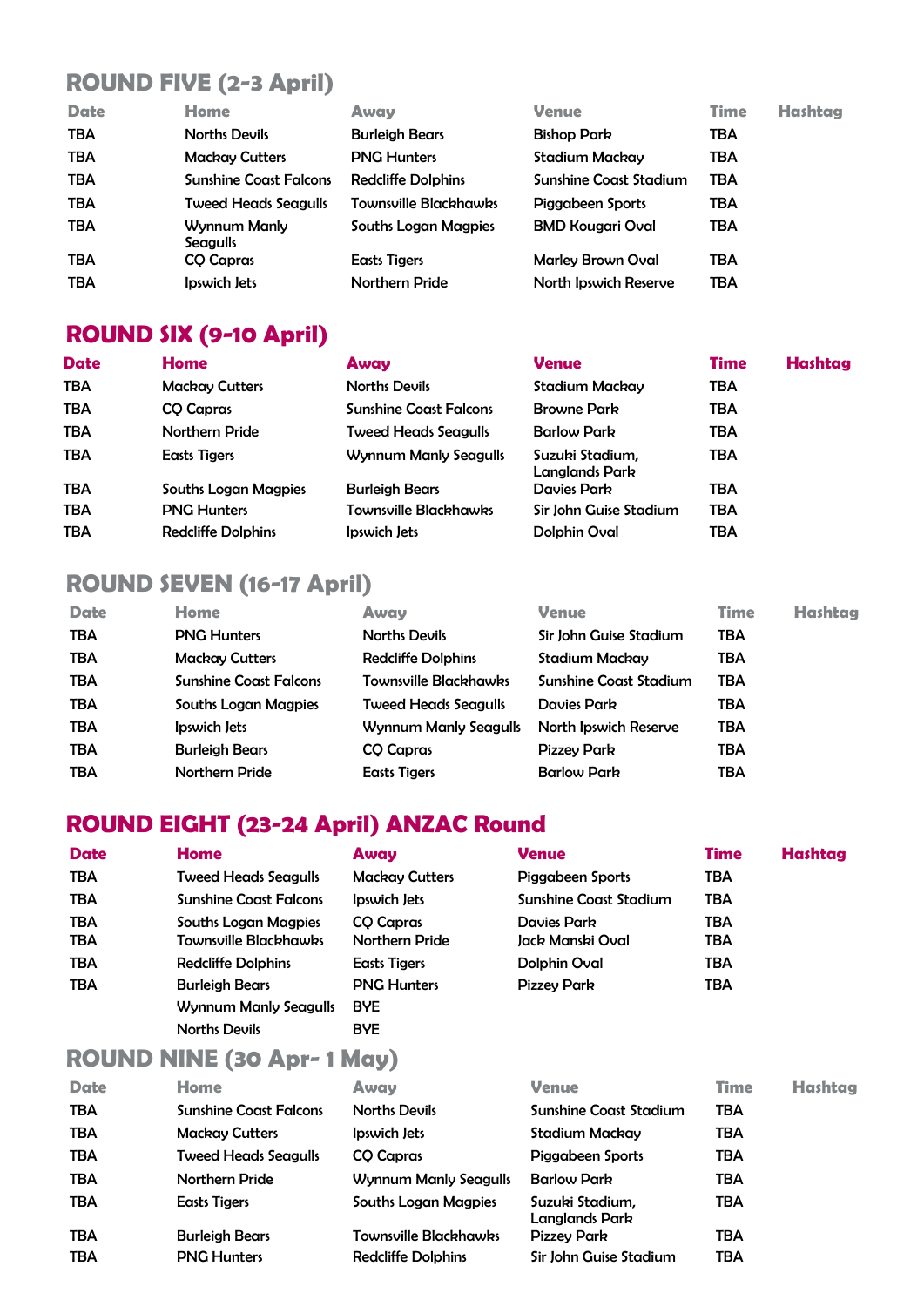# **ROUND FIVE (2-3 April)**

| <b>Date</b> | <b>Home</b>                     | <b>Awav</b>                  | Venue                         | <b>Time</b> | <b>Hashtag</b> |
|-------------|---------------------------------|------------------------------|-------------------------------|-------------|----------------|
| <b>TBA</b>  | <b>Norths Devils</b>            | <b>Burleigh Bears</b>        | <b>Bishop Park</b>            | <b>TBA</b>  |                |
| TBA         | <b>Mackay Cutters</b>           | <b>PNG Hunters</b>           | Stadium Mackay                | TBA         |                |
| TBA         | <b>Sunshine Coast Falcons</b>   | <b>Redcliffe Dolphins</b>    | <b>Sunshine Coast Stadium</b> | TBA         |                |
| TBA         | Tweed Heads Seagulls            | <b>Townsville Blackhawks</b> | Piggabeen Sports              | TBA         |                |
| <b>TBA</b>  | Wynnum Manly<br><b>Seagulls</b> | <b>Souths Logan Magpies</b>  | <b>BMD Kougari Oval</b>       | <b>TBA</b>  |                |
| TBA         | <b>CQ Capras</b>                | <b>Easts Tigers</b>          | <b>Marley Brown Oval</b>      | TBA         |                |
| <b>TBA</b>  | Ipswich Jets                    | <b>Northern Pride</b>        | North Ipswich Reserve         | <b>TBA</b>  |                |

# **ROUND SIX (9-10 April)**

| Home                        | Away                          | Venue                             | <b>Time</b> | Hashtag |
|-----------------------------|-------------------------------|-----------------------------------|-------------|---------|
| <b>Mackay Cutters</b>       | <b>Norths Devils</b>          | Stadium Mackay                    | <b>TBA</b>  |         |
| <b>CQ Capras</b>            | <b>Sunshine Coast Falcons</b> | <b>Browne Park</b>                | <b>TBA</b>  |         |
| <b>Northern Pride</b>       | <b>Tweed Heads Seagulls</b>   | <b>Barlow Park</b>                | <b>TBA</b>  |         |
| <b>Easts Tigers</b>         | <b>Wynnum Manly Seagulls</b>  | Suzuki Stadium,<br>Langlands Park | <b>TBA</b>  |         |
| <b>Souths Logan Magpies</b> | <b>Burleigh Bears</b>         | Davies Park                       | <b>TBA</b>  |         |
| <b>PNG Hunters</b>          | Townsville Blackhawks         | Sir John Guise Stadium            | <b>TBA</b>  |         |
| <b>Redcliffe Dolphins</b>   | Ipswich Jets                  | Dolphin Oval                      | <b>TBA</b>  |         |
|                             |                               |                                   |             |         |

## **ROUND SEVEN (16-17 April)**

| <b>Date</b> | <b>Home</b>                   | <b>Awav</b>                  | <b>Venue</b>                  | Time | Hashtag |
|-------------|-------------------------------|------------------------------|-------------------------------|------|---------|
| <b>TBA</b>  | <b>PNG Hunters</b>            | <b>Norths Devils</b>         | Sir John Guise Stadium        | TBA  |         |
| <b>TBA</b>  | <b>Mackay Cutters</b>         | <b>Redcliffe Dolphins</b>    | Stadium Mackay                | TBA  |         |
| <b>TBA</b>  | <b>Sunshine Coast Falcons</b> | <b>Townsville Blackhawks</b> | <b>Sunshine Coast Stadium</b> | TBA  |         |
| <b>TBA</b>  | Souths Logan Magpies          | <b>Tweed Heads Seagulls</b>  | Davies Park                   | TBA  |         |
| <b>TBA</b>  | Ipswich Jets                  | <b>Wynnum Manly Seagulls</b> | North Ipswich Reserve         | TBA  |         |
| <b>TBA</b>  | <b>Burleigh Bears</b>         | <b>CO Capras</b>             | <b>Pizzey Park</b>            | TBA  |         |
| <b>TBA</b>  | <b>Northern Pride</b>         | <b>Easts Tigers</b>          | <b>Barlow Park</b>            | TBA  |         |

# **ROUND EIGHT (23-24 April) ANZAC Round**

| <b>Date</b>              | Home                                                  | Away                                      | Venue                           | <b>Time</b> | <b>Hashtag</b> |
|--------------------------|-------------------------------------------------------|-------------------------------------------|---------------------------------|-------------|----------------|
| <b>TBA</b>               | <b>Tweed Heads Seagulls</b>                           | <b>Mackay Cutters</b>                     | Piggabeen Sports                | TBA         |                |
| <b>TBA</b>               | <b>Sunshine Coast Falcons</b>                         | Ipswich Jets                              | <b>Sunshine Coast Stadium</b>   | TBA         |                |
| <b>TBA</b><br><b>TBA</b> | Souths Logan Magpies<br>Townsville Blackhawks         | <b>CO Capras</b><br><b>Northern Pride</b> | Davies Park<br>Jack Manski Oval | TBA<br>TBA  |                |
| <b>TBA</b>               | <b>Redcliffe Dolphins</b>                             | <b>Easts Tigers</b>                       | Dolphin Oval                    | TBA         |                |
| <b>TBA</b>               | <b>Burleigh Bears</b><br><b>Wynnum Manly Seagulls</b> | <b>PNG Hunters</b><br><b>BYE</b>          | Pizzev Park                     | TBA         |                |
|                          | <b>Norths Devils</b>                                  | <b>BYE</b>                                |                                 |             |                |

# **ROUND NINE (30 Apr- 1 May)**

| <b>Date</b> | <b>Home</b>                   | Away                         | <b>Venue</b>                      | <b>Time</b> | Hashtag |
|-------------|-------------------------------|------------------------------|-----------------------------------|-------------|---------|
| <b>TBA</b>  | <b>Sunshine Coast Falcons</b> | <b>Norths Devils</b>         | <b>Sunshine Coast Stadium</b>     | <b>TBA</b>  |         |
| <b>TBA</b>  | <b>Mackay Cutters</b>         | Ipswich Jets                 | Stadium Mackay                    | <b>TBA</b>  |         |
| <b>TBA</b>  | <b>Tweed Heads Seagulls</b>   | CO Capras                    | Piggabeen Sports                  | <b>TBA</b>  |         |
| <b>TBA</b>  | <b>Northern Pride</b>         | Wynnum Manly Seagulls        | <b>Barlow Park</b>                | <b>TBA</b>  |         |
| <b>TBA</b>  | <b>Easts Tigers</b>           | Souths Logan Magpies         | Suzuki Stadium.<br>Langlands Park | <b>TBA</b>  |         |
| <b>TBA</b>  | <b>Burleigh Bears</b>         | <b>Townsville Blackhawks</b> | Pizzey Park                       | <b>TBA</b>  |         |
| <b>TBA</b>  | <b>PNG Hunters</b>            | <b>Redcliffe Dolphins</b>    | Sir John Guise Stadium            | <b>TBA</b>  |         |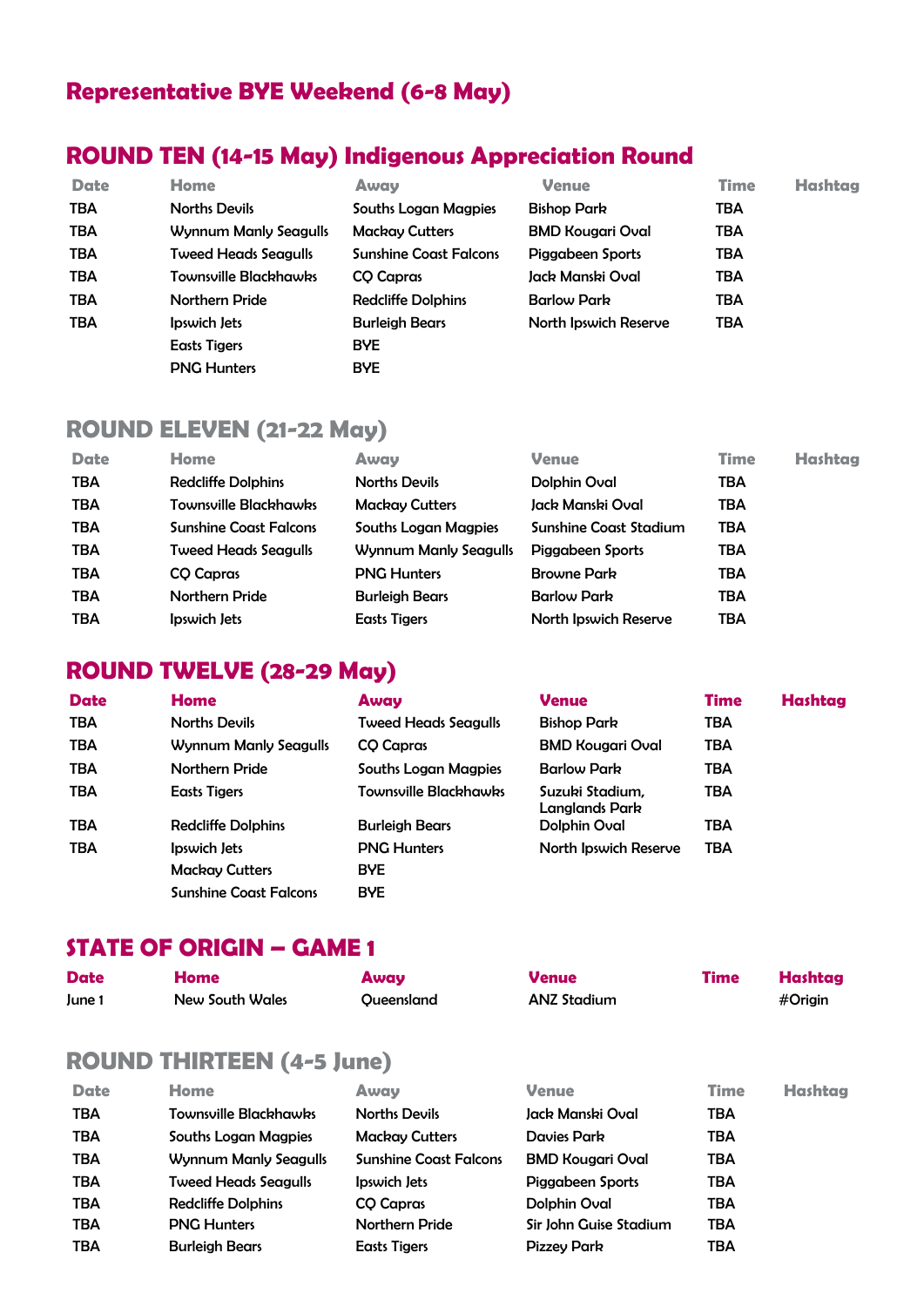# **Representative BYE Weekend (6-8 May)**

# **ROUND TEN (14-15 May) Indigenous Appreciation Round**

| <b>Date</b> | <b>Home</b>                  | <b>Awav</b>                   | <b>Venue</b>            | <b>Time</b> | <b>Hashtag</b> |
|-------------|------------------------------|-------------------------------|-------------------------|-------------|----------------|
| <b>TBA</b>  | <b>Norths Devils</b>         | Souths Logan Magpies          | <b>Bishop Park</b>      | TBA         |                |
| <b>TBA</b>  | <b>Wynnum Manly Seagulls</b> | <b>Mackay Cutters</b>         | <b>BMD Kougari Oval</b> | TBA         |                |
| <b>TBA</b>  | Tweed Heads Seagulls         | <b>Sunshine Coast Falcons</b> | Piggabeen Sports        | TBA         |                |
| <b>TBA</b>  | Townsville Blackhawks        | <b>CO Capras</b>              | Jack Manski Oval        | TBA         |                |
| <b>TBA</b>  | <b>Northern Pride</b>        | <b>Redcliffe Dolphins</b>     | <b>Barlow Park</b>      | TBA         |                |
| <b>TBA</b>  | Ipswich Jets                 | <b>Burleigh Bears</b>         | North Ipswich Reserve   | TBA         |                |
|             | <b>Easts Tigers</b>          | <b>BYE</b>                    |                         |             |                |
|             | <b>PNG Hunters</b>           | <b>BYE</b>                    |                         |             |                |

#### **ROUND ELEVEN (21-22 May)**

| <b>Date</b> | <b>Home</b>                   | Away                         | <b>Venue</b>                  | <b>Time</b> | <b>Hashtag</b> |
|-------------|-------------------------------|------------------------------|-------------------------------|-------------|----------------|
| <b>TBA</b>  | <b>Redcliffe Dolphins</b>     | <b>Norths Devils</b>         | Dolphin Oval                  | TBA         |                |
| <b>TBA</b>  | <b>Townsville Blackhawks</b>  | <b>Mackay Cutters</b>        | Jack Manski Oval              | <b>TBA</b>  |                |
| <b>TBA</b>  | <b>Sunshine Coast Falcons</b> | <b>Souths Logan Magpies</b>  | <b>Sunshine Coast Stadium</b> | TBA         |                |
| <b>TBA</b>  | <b>Tweed Heads Seagulls</b>   | <b>Wynnum Manly Seagulls</b> | Piggabeen Sports              | <b>TBA</b>  |                |
| <b>TBA</b>  | CO Capras                     | <b>PNG Hunters</b>           | <b>Browne Park</b>            | TBA         |                |
| <b>TBA</b>  | <b>Northern Pride</b>         | <b>Burleigh Bears</b>        | <b>Barlow Park</b>            | TBA         |                |
| <b>TBA</b>  | Ipswich Jets                  | <b>Easts Tigers</b>          | North Ipswich Reserve         | TBA         |                |

### **ROUND TWELVE (28-29 May)**

| <b>Date</b> | Home                          | Awav                        | <b>Venue</b>                      | Time       | <b>Hashtag</b> |
|-------------|-------------------------------|-----------------------------|-----------------------------------|------------|----------------|
| <b>TBA</b>  | <b>Norths Devils</b>          | <b>Tweed Heads Seagulls</b> | <b>Bishop Park</b>                | TBA        |                |
| <b>TBA</b>  | <b>Wynnum Manly Seagulls</b>  | CO Capras                   | <b>BMD Kougari Oval</b>           | TBA        |                |
| <b>TBA</b>  | <b>Northern Pride</b>         | Souths Logan Magpies        | <b>Barlow Park</b>                | <b>TBA</b> |                |
| <b>TBA</b>  | <b>Easts Tigers</b>           | Townsville Blackhawks       | Suzuki Stadium.<br>Langlands Park | TBA        |                |
| <b>TBA</b>  | <b>Redcliffe Dolphins</b>     | <b>Burleigh Bears</b>       | Dolphin Oval                      | <b>TBA</b> |                |
| <b>TBA</b>  | Ipswich Jets                  | <b>PNG Hunters</b>          | North Ipswich Reserve             | <b>TBA</b> |                |
|             | <b>Mackay Cutters</b>         | <b>BYE</b>                  |                                   |            |                |
|             | <b>Sunshine Coast Falcons</b> | <b>BYE</b>                  |                                   |            |                |

#### **STATE OF ORIGIN – GAME 1**

| <b>Date</b> | Home                             | Away       | <b>Venue</b>       | Time | Hashtag |
|-------------|----------------------------------|------------|--------------------|------|---------|
| June 1      | New South Wales                  | Oueensland | <b>ANZ Stadium</b> |      | #Origin |
|             | <b>ROUND THIRTEEN (4-5 June)</b> |            |                    |      |         |
| Date        | Home                             | Ашаш       | Vanua              | Time | Hachtaa |

| <b>Date</b> | <b>Home</b>                  | Away                          | <b>Venue</b>            | <b>Time</b> | <b>Hashtag</b> |
|-------------|------------------------------|-------------------------------|-------------------------|-------------|----------------|
| <b>TBA</b>  | <b>Townsville Blackhawks</b> | <b>Norths Devils</b>          | Jack Manski Oval        | TBA         |                |
| <b>TBA</b>  | Souths Logan Magpies         | <b>Mackay Cutters</b>         | Davies Park             | TBA         |                |
| <b>TBA</b>  | <b>Wynnum Manly Seagulls</b> | <b>Sunshine Coast Falcons</b> | <b>BMD Kougari Oval</b> | TBA         |                |
| <b>TBA</b>  | <b>Tweed Heads Seagulls</b>  | Ipswich Jets                  | Piggabeen Sports        | TBA         |                |
| <b>TBA</b>  | <b>Redcliffe Dolphins</b>    | CO Capras                     | Dolphin Oval            | <b>TBA</b>  |                |
| <b>TBA</b>  | <b>PNG Hunters</b>           | <b>Northern Pride</b>         | Sir John Guise Stadium  | <b>TBA</b>  |                |
| TBA         | <b>Burleigh Bears</b>        | <b>Easts Tigers</b>           | <b>Pizzey Park</b>      | TBA         |                |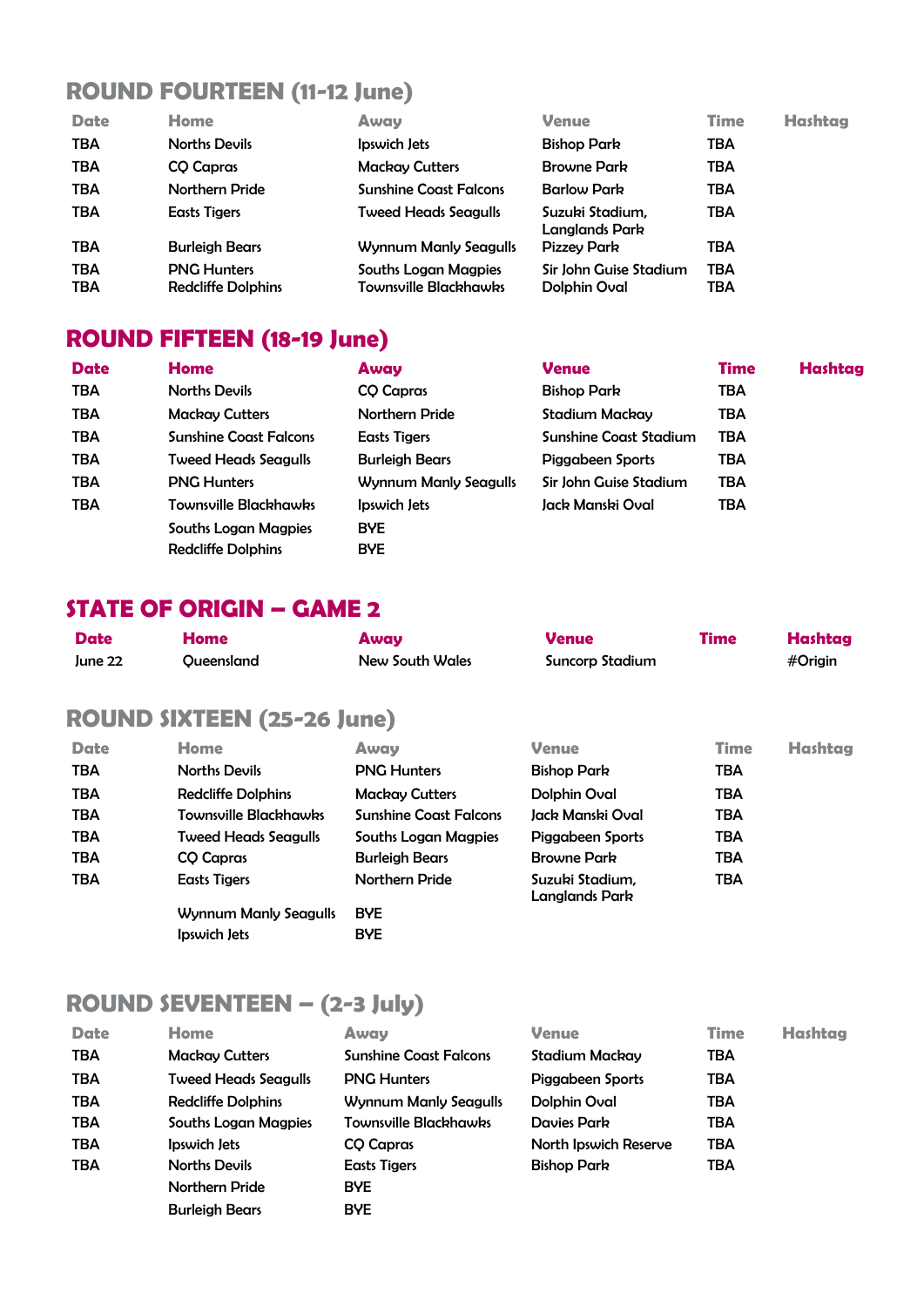# **ROUND FOURTEEN (11-12 June)**

| <b>Date</b>              | <b>Home</b>                                     | <b>Awav</b>                                          | Venue                                    | <b>Time</b>       | <b>Hashtag</b> |
|--------------------------|-------------------------------------------------|------------------------------------------------------|------------------------------------------|-------------------|----------------|
| <b>TBA</b>               | <b>Norths Devils</b>                            | Ipswich Jets                                         | <b>Bishop Park</b>                       | <b>TBA</b>        |                |
| <b>TBA</b>               | CO Capras                                       | <b>Mackay Cutters</b>                                | <b>Browne Park</b>                       | <b>TBA</b>        |                |
| <b>TBA</b>               | <b>Northern Pride</b>                           | <b>Sunshine Coast Falcons</b>                        | <b>Barlow Park</b>                       | <b>TBA</b>        |                |
| <b>TBA</b>               | <b>Easts Tigers</b>                             | <b>Tweed Heads Seagulls</b>                          | Suzuki Stadium,<br><b>Langlands Park</b> | <b>TBA</b>        |                |
| <b>TBA</b>               | <b>Burleigh Bears</b>                           | <b>Wynnum Manly Seagulls</b>                         | <b>Pizzey Park</b>                       | <b>TBA</b>        |                |
| <b>TBA</b><br><b>TBA</b> | <b>PNG Hunters</b><br><b>Redcliffe Dolphins</b> | Souths Logan Magpies<br><b>Townsville Blackhawks</b> | Sir John Guise Stadium<br>Dolphin Oval   | <b>TBA</b><br>TBA |                |

# **ROUND FIFTEEN (18-19 June)**

| <b>Date</b> | Home                          | Away                         | <b>Venue</b>                  | <b>Time</b> | <b>Hashtag</b> |
|-------------|-------------------------------|------------------------------|-------------------------------|-------------|----------------|
| <b>TBA</b>  | <b>Norths Devils</b>          | CO Capras                    | <b>Bishop Park</b>            | TBA         |                |
| <b>TBA</b>  | <b>Mackay Cutters</b>         | <b>Northern Pride</b>        | Stadium Mackay                | <b>TBA</b>  |                |
| <b>TBA</b>  | <b>Sunshine Coast Falcons</b> | <b>Easts Tigers</b>          | <b>Sunshine Coast Stadium</b> | <b>TBA</b>  |                |
| <b>TBA</b>  | Tweed Heads Seagulls          | <b>Burleigh Bears</b>        | Piggabeen Sports              | TBA         |                |
| TBA         | <b>PNG Hunters</b>            | <b>Wynnum Manly Seagulls</b> | Sir John Guise Stadium        | <b>TBA</b>  |                |
| <b>TBA</b>  | Townsville Blackhawks         | Ipswich Jets                 | Jack Manski Oval              | <b>TBA</b>  |                |
|             | Souths Logan Magpies          | <b>BYE</b>                   |                               |             |                |
|             | <b>Redcliffe Dolphins</b>     | <b>BYE</b>                   |                               |             |                |

## **STATE OF ORIGIN – GAME 2**

| Date    | Home       | Away            | Venue           | <b>Time</b> | Hashtag    |
|---------|------------|-----------------|-----------------|-------------|------------|
| June 22 | Oueensland | New South Wales | Suncorp Stadium |             | $#O$ rigin |

## **ROUND SIXTEEN (25-26 June)**

| <b>Date</b> | <b>Home</b>                  | Away                          | Venue                                    | <b>Time</b> | <b>Hashtag</b> |
|-------------|------------------------------|-------------------------------|------------------------------------------|-------------|----------------|
| <b>TBA</b>  | <b>Norths Devils</b>         | <b>PNG Hunters</b>            | <b>Bishop Park</b>                       | <b>TBA</b>  |                |
| <b>TBA</b>  | <b>Redcliffe Dolphins</b>    | <b>Mackay Cutters</b>         | Dolphin Oval                             | <b>TBA</b>  |                |
| <b>TBA</b>  | Townsville Blackhawks        | <b>Sunshine Coast Falcons</b> | Jack Manski Oval                         | <b>TBA</b>  |                |
| TBA         | <b>Tweed Heads Seagulls</b>  | Souths Logan Magpies          | Piggabeen Sports                         | <b>TBA</b>  |                |
| TBA         | CO Capras                    | <b>Burleigh Bears</b>         | <b>Browne Park</b>                       | <b>TBA</b>  |                |
| <b>TBA</b>  | <b>Easts Tigers</b>          | Northern Pride                | Suzuki Stadium,<br><b>Langlands Park</b> | <b>TBA</b>  |                |
|             | <b>Wynnum Manly Seagulls</b> | <b>BYE</b>                    |                                          |             |                |
|             | Ipswich Jets                 | <b>BYE</b>                    |                                          |             |                |

# **ROUND SEVENTEEN – (2-3 July)**

| <b>Date</b> | <b>Home</b>                 | Awav                          | <b>Venue</b>          | Time       | Hashtag |
|-------------|-----------------------------|-------------------------------|-----------------------|------------|---------|
| <b>TBA</b>  | <b>Mackay Cutters</b>       | <b>Sunshine Coast Falcons</b> | Stadium Mackay        | TBA        |         |
| <b>TBA</b>  | <b>Tweed Heads Seagulls</b> | <b>PNG Hunters</b>            | Piggabeen Sports      | <b>TBA</b> |         |
| <b>TBA</b>  | <b>Redcliffe Dolphins</b>   | <b>Wynnum Manly Seagulls</b>  | Dolphin Oval          | <b>TBA</b> |         |
| <b>TBA</b>  | Souths Logan Magpies        | Townsville Blackhawks         | Davies Park           | TBA        |         |
| <b>TBA</b>  | Ipswich Jets                | CO Capras                     | North Ipswich Reserve | <b>TBA</b> |         |
| <b>TBA</b>  | <b>Norths Devils</b>        | <b>Easts Tigers</b>           | <b>Bishop Park</b>    | <b>TBA</b> |         |
|             | <b>Northern Pride</b>       | <b>BYE</b>                    |                       |            |         |
|             | <b>Burleigh Bears</b>       | <b>BYE</b>                    |                       |            |         |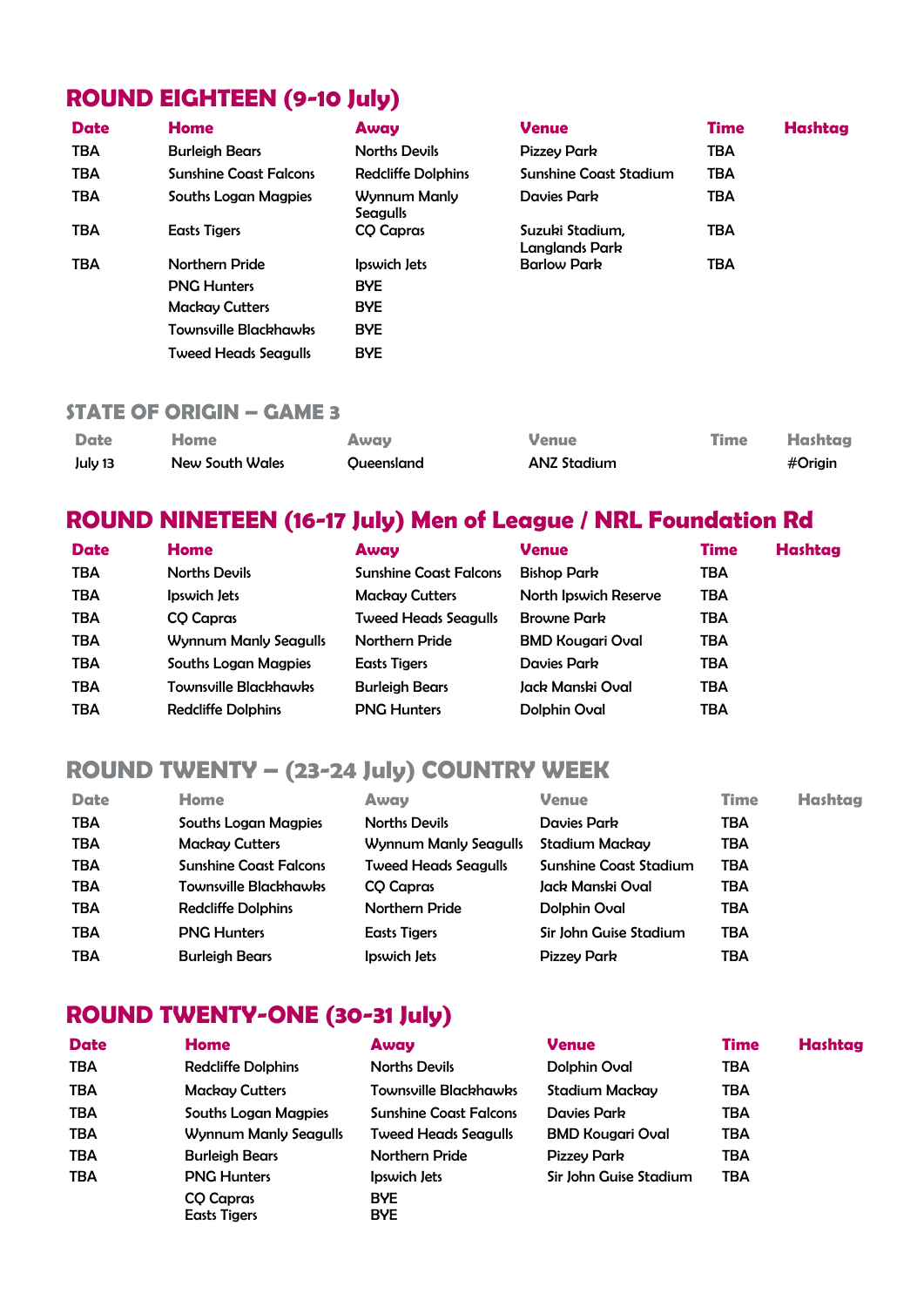# **ROUND EIGHTEEN (9-10 July)**

| <b>Date</b> | <b>Home</b>                   | Away                            | <b>Venue</b>                             | <b>Time</b> | <b>Hashtag</b> |
|-------------|-------------------------------|---------------------------------|------------------------------------------|-------------|----------------|
| <b>TBA</b>  | <b>Burleigh Bears</b>         | <b>Norths Devils</b>            | <b>Pizzey Park</b>                       | <b>TBA</b>  |                |
| <b>TBA</b>  | <b>Sunshine Coast Falcons</b> | <b>Redcliffe Dolphins</b>       | <b>Sunshine Coast Stadium</b>            | <b>TBA</b>  |                |
| <b>TBA</b>  | Souths Logan Magpies          | Wynnum Manly<br><b>Seagulls</b> | Davies Park                              | <b>TBA</b>  |                |
| <b>TBA</b>  | <b>Easts Tigers</b>           | CQ Capras                       | Suzuki Stadium,<br><b>Langlands Park</b> | <b>TBA</b>  |                |
| <b>TBA</b>  | <b>Northern Pride</b>         | Ipswich Jets                    | <b>Barlow Park</b>                       | <b>TBA</b>  |                |
|             | <b>PNG Hunters</b>            | <b>BYE</b>                      |                                          |             |                |
|             | <b>Mackay Cutters</b>         | <b>BYE</b>                      |                                          |             |                |
|             | Townsville Blackhawks         | <b>BYE</b>                      |                                          |             |                |
|             | <b>Tweed Heads Seagulls</b>   | <b>BYE</b>                      |                                          |             |                |

#### **STATE OF ORIGIN – GAME 3**

| <b>Date</b> | <b>Home</b>     | <b>Away</b> | Venue              | <b>Time</b> | Hashtag |
|-------------|-----------------|-------------|--------------------|-------------|---------|
| July 13     | New South Wales | Oueensland  | <b>ANZ Stadium</b> |             | #Origin |

## **ROUND NINETEEN (16-17 July) Men of League / NRL Foundation Rd**

| <b>Date</b> | <b>Home</b>                  | Awav                          | <b>Venue</b>            | <b>Time</b> | <b>Hashtag</b> |
|-------------|------------------------------|-------------------------------|-------------------------|-------------|----------------|
| TBA         | <b>Norths Devils</b>         | <b>Sunshine Coast Falcons</b> | <b>Bishop Park</b>      | TBA         |                |
| TBA         | Ipswich Jets                 | <b>Mackay Cutters</b>         | North Ipswich Reserve   | <b>TBA</b>  |                |
| TBA         | <b>CQ Capras</b>             | <b>Tweed Heads Seagulls</b>   | <b>Browne Park</b>      | TBA         |                |
| <b>TBA</b>  | <b>Wynnum Manly Seagulls</b> | <b>Northern Pride</b>         | <b>BMD Kougari Oval</b> | <b>TBA</b>  |                |
| <b>TBA</b>  | Souths Logan Magpies         | <b>Easts Tigers</b>           | Davies Park             | <b>TBA</b>  |                |
| <b>TBA</b>  | Townsville Blackhawks        | <b>Burleigh Bears</b>         | Jack Manski Oval        | <b>TBA</b>  |                |
| <b>TBA</b>  | <b>Redcliffe Dolphins</b>    | <b>PNG Hunters</b>            | <b>Dolphin Oval</b>     | <b>TBA</b>  |                |

# **ROUND TWENTY – (23-24 July) COUNTRY WEEK**

| <b>Date</b> | <b>Home</b>                   | Away                         | <b>Venue</b>                  | <b>Time</b> | <b>Hashtag</b> |
|-------------|-------------------------------|------------------------------|-------------------------------|-------------|----------------|
| <b>TBA</b>  | Souths Logan Magpies          | <b>Norths Devils</b>         | Davies Park                   | <b>TBA</b>  |                |
| TBA         | <b>Mackay Cutters</b>         | <b>Wynnum Manly Seagulls</b> | Stadium Mackay                | TBA         |                |
| <b>TBA</b>  | <b>Sunshine Coast Falcons</b> | <b>Tweed Heads Seagulls</b>  | <b>Sunshine Coast Stadium</b> | <b>TBA</b>  |                |
| <b>TBA</b>  | Townsville Blackhawks         | CO Capras                    | Jack Manski Oval              | TBA         |                |
| <b>TBA</b>  | <b>Redcliffe Dolphins</b>     | Northern Pride               | Dolphin Oval                  | TBA         |                |
| TBA         | <b>PNG Hunters</b>            | Easts Tigers                 | Sir John Guise Stadium        | TBA         |                |
| <b>TBA</b>  | <b>Burleigh Bears</b>         | Ipswich Jets                 | <b>Pizzey Park</b>            | TBA         |                |

# **ROUND TWENTY-ONE (30-31 July)**

| <b>Date</b> | Home                                    | Away                          | <b>Venue</b>            | <b>Time</b> | Hashtag |
|-------------|-----------------------------------------|-------------------------------|-------------------------|-------------|---------|
| <b>TBA</b>  | <b>Redcliffe Dolphins</b>               | <b>Norths Devils</b>          | Dolphin Oval            | TBA         |         |
| <b>TBA</b>  | <b>Mackay Cutters</b>                   | Townsville Blackhawks         | Stadium Mackay          | <b>TBA</b>  |         |
| <b>TBA</b>  | Souths Logan Magpies                    | <b>Sunshine Coast Falcons</b> | Davies Park             | <b>TBA</b>  |         |
| <b>TBA</b>  | <b>Wynnum Manly Seagulls</b>            | <b>Tweed Heads Seagulls</b>   | <b>BMD Kougari Oval</b> | <b>TBA</b>  |         |
| <b>TBA</b>  | <b>Burleigh Bears</b>                   | Northern Pride                | Pizzev Park             | <b>TBA</b>  |         |
| <b>TBA</b>  | <b>PNG Hunters</b>                      | Ipswich Jets                  | Sir John Guise Stadium  | <b>TBA</b>  |         |
|             | <b>CQ Capras</b><br><b>Easts Tigers</b> | <b>BYE</b><br><b>BYE</b>      |                         |             |         |